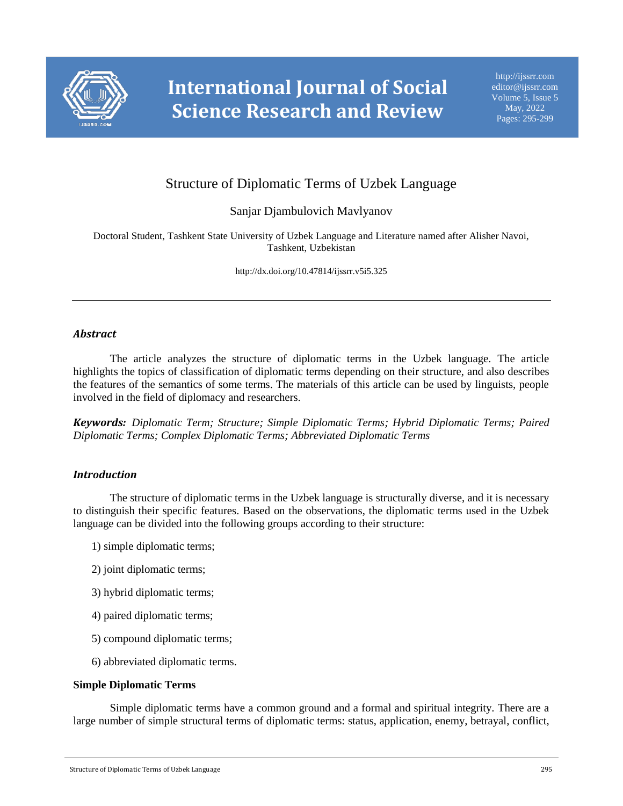

# Structure of Diplomatic Terms of Uzbek Language

# Sanjar Djambulovich Mavlyanov

Doctoral Student, Tashkent State University of Uzbek Language and Literature named after Alisher Navoi, Tashkent, Uzbekistan

http://dx.doi.org/10.47814/ijssrr.v5i5.325

# *Abstract*

The article analyzes the structure of diplomatic terms in the Uzbek language. The article highlights the topics of classification of diplomatic terms depending on their structure, and also describes the features of the semantics of some terms. The materials of this article can be used by linguists, people involved in the field of diplomacy and researchers.

*Keywords: Diplomatic Term; Structure; Simple Diplomatic Terms; Hybrid Diplomatic Terms; Paired Diplomatic Terms; Complex Diplomatic Terms; Abbreviated Diplomatic Terms*

# *Introduction*

The structure of diplomatic terms in the Uzbek language is structurally diverse, and it is necessary to distinguish their specific features. Based on the observations, the diplomatic terms used in the Uzbek language can be divided into the following groups according to their structure:

- 1) simple diplomatic terms;
- 2) joint diplomatic terms;
- 3) hybrid diplomatic terms;
- 4) paired diplomatic terms;
- 5) compound diplomatic terms;
- 6) abbreviated diplomatic terms.

### **Simple Diplomatic Terms**

Simple diplomatic terms have a common ground and a formal and spiritual integrity. There are a large number of simple structural terms of diplomatic terms: status, application, enemy, betrayal, conflict,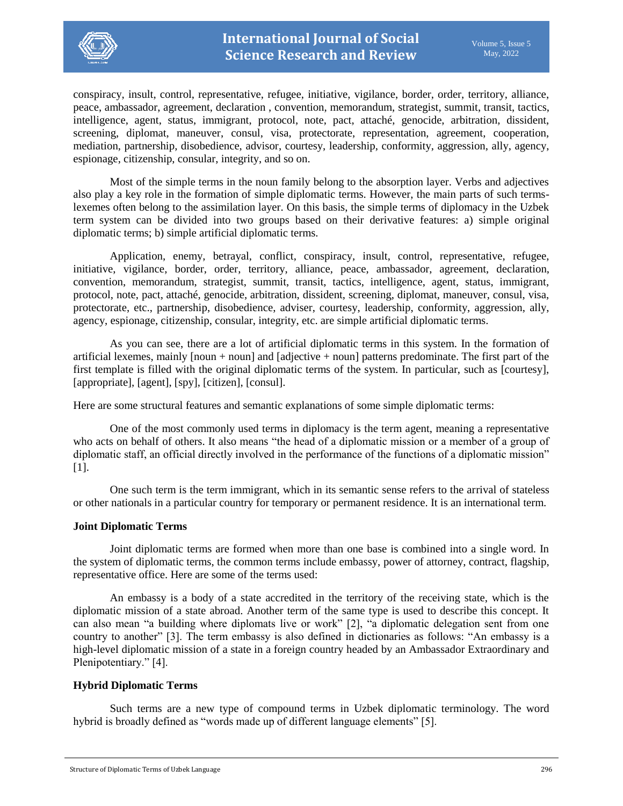

conspiracy, insult, control, representative, refugee, initiative, vigilance, border, order, territory, alliance, peace, ambassador, agreement, declaration , convention, memorandum, strategist, summit, transit, tactics, intelligence, agent, status, immigrant, protocol, note, pact, attaché, genocide, arbitration, dissident, screening, diplomat, maneuver, consul, visa, protectorate, representation, agreement, cooperation, mediation, partnership, disobedience, advisor, courtesy, leadership, conformity, aggression, ally, agency, espionage, citizenship, consular, integrity, and so on.

Most of the simple terms in the noun family belong to the absorption layer. Verbs and adjectives also play a key role in the formation of simple diplomatic terms. However, the main parts of such termslexemes often belong to the assimilation layer. On this basis, the simple terms of diplomacy in the Uzbek term system can be divided into two groups based on their derivative features: a) simple original diplomatic terms; b) simple artificial diplomatic terms.

Application, enemy, betrayal, conflict, conspiracy, insult, control, representative, refugee, initiative, vigilance, border, order, territory, alliance, peace, ambassador, agreement, declaration, convention, memorandum, strategist, summit, transit, tactics, intelligence, agent, status, immigrant, protocol, note, pact, attaché, genocide, arbitration, dissident, screening, diplomat, maneuver, consul, visa, protectorate, etc., partnership, disobedience, adviser, courtesy, leadership, conformity, aggression, ally, agency, espionage, citizenship, consular, integrity, etc. are simple artificial diplomatic terms.

As you can see, there are a lot of artificial diplomatic terms in this system. In the formation of artificial lexemes, mainly [noun + noun] and [adjective + noun] patterns predominate. The first part of the first template is filled with the original diplomatic terms of the system. In particular, such as [courtesy], [appropriate], [agent], [spy], [citizen], [consul].

Here are some structural features and semantic explanations of some simple diplomatic terms:

One of the most commonly used terms in diplomacy is the term agent, meaning a representative who acts on behalf of others. It also means "the head of a diplomatic mission or a member of a group of diplomatic staff, an official directly involved in the performance of the functions of a diplomatic mission" [1].

One such term is the term immigrant, which in its semantic sense refers to the arrival of stateless or other nationals in a particular country for temporary or permanent residence. It is an international term.

# **Joint Diplomatic Terms**

Joint diplomatic terms are formed when more than one base is combined into a single word. In the system of diplomatic terms, the common terms include embassy, power of attorney, contract, flagship, representative office. Here are some of the terms used:

An embassy is a body of a state accredited in the territory of the receiving state, which is the diplomatic mission of a state abroad. Another term of the same type is used to describe this concept. It can also mean "a building where diplomats live or work" [2], "a diplomatic delegation sent from one country to another" [3]. The term embassy is also defined in dictionaries as follows: "An embassy is a high-level diplomatic mission of a state in a foreign country headed by an Ambassador Extraordinary and Plenipotentiary." [4].

# **Hybrid Diplomatic Terms**

Such terms are a new type of compound terms in Uzbek diplomatic terminology. The word hybrid is broadly defined as "words made up of different language elements" [5].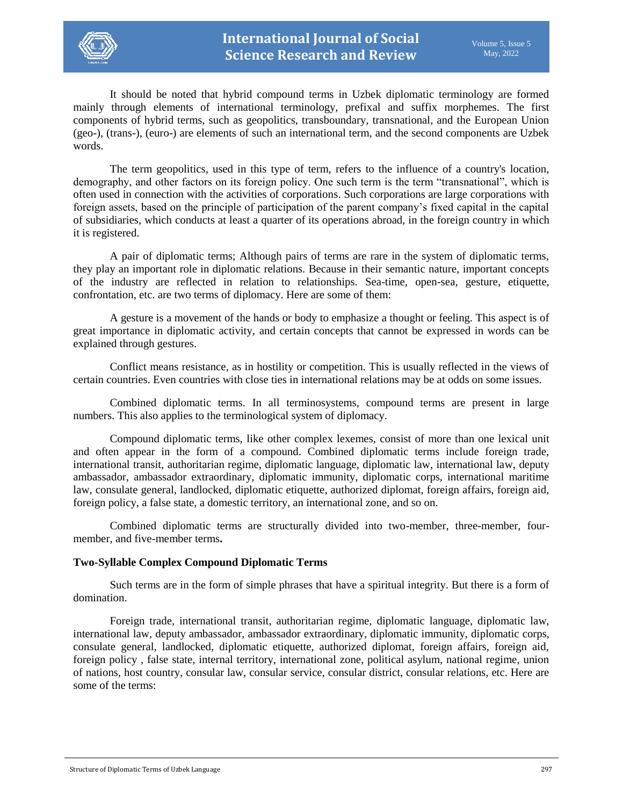

It should be noted that hybrid compound terms in Uzbek diplomatic terminology are formed mainly through elements of international terminology, prefixal and suffix morphemes. The first components of hybrid terms, such as geopolitics, transboundary, transnational, and the European Union (geo-), (trans-), (euro-) are elements of such an international term, and the second components are Uzbek words.

The term geopolitics, used in this type of term, refers to the influence of a country's location, demography, and other factors on its foreign policy. One such term is the term "transnational", which is often used in connection with the activities of corporations. Such corporations are large corporations with foreign assets, based on the principle of participation of the parent company's fixed capital in the capital of subsidiaries, which conducts at least a quarter of its operations abroad, in the foreign country in which it is registered.

A pair of diplomatic terms; Although pairs of terms are rare in the system of diplomatic terms, they play an important role in diplomatic relations. Because in their semantic nature, important concepts of the industry are reflected in relation to relationships. Sea-time, open-sea, gesture, etiquette, confrontation, etc. are two terms of diplomacy. Here are some of them:

A gesture is a movement of the hands or body to emphasize a thought or feeling. This aspect is of great importance in diplomatic activity, and certain concepts that cannot be expressed in words can be explained through gestures.

Conflict means resistance, as in hostility or competition. This is usually reflected in the views of certain countries. Even countries with close ties in international relations may be at odds on some issues.

Combined diplomatic terms. In all terminosystems, compound terms are present in large numbers. This also applies to the terminological system of diplomacy.

Compound diplomatic terms, like other complex lexemes, consist of more than one lexical unit and often appear in the form of a compound. Combined diplomatic terms include foreign trade, international transit, authoritarian regime, diplomatic language, diplomatic law, international law, deputy ambassador, ambassador extraordinary, diplomatic immunity, diplomatic corps, international maritime law, consulate general, landlocked, diplomatic etiquette, authorized diplomat, foreign affairs, foreign aid, foreign policy, a false state, a domestic territory, an international zone, and so on.

Combined diplomatic terms are structurally divided into two-member, three-member, fourmember, and five-member terms**.**

### **Two-Syllable Complex Compound Diplomatic Terms**

Such terms are in the form of simple phrases that have a spiritual integrity. But there is a form of domination.

Foreign trade, international transit, authoritarian regime, diplomatic language, diplomatic law, international law, deputy ambassador, ambassador extraordinary, diplomatic immunity, diplomatic corps, consulate general, landlocked, diplomatic etiquette, authorized diplomat, foreign affairs, foreign aid, foreign policy , false state, internal territory, international zone, political asylum, national regime, union of nations, host country, consular law, consular service, consular district, consular relations, etc. Here are some of the terms: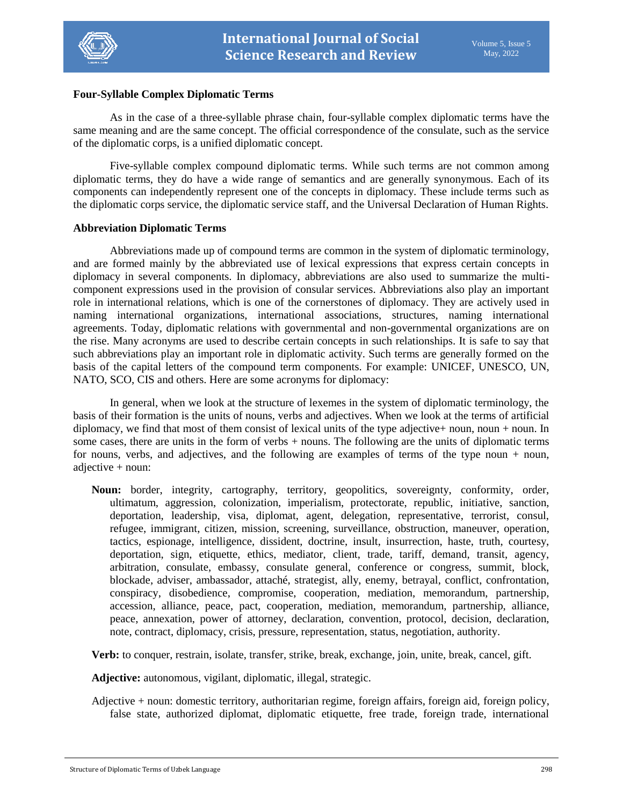

### **Four-Syllable Complex Diplomatic Terms**

As in the case of a three-syllable phrase chain, four-syllable complex diplomatic terms have the same meaning and are the same concept. The official correspondence of the consulate, such as the service of the diplomatic corps, is a unified diplomatic concept.

Five-syllable complex compound diplomatic terms. While such terms are not common among diplomatic terms, they do have a wide range of semantics and are generally synonymous. Each of its components can independently represent one of the concepts in diplomacy. These include terms such as the diplomatic corps service, the diplomatic service staff, and the Universal Declaration of Human Rights.

### **Abbreviation Diplomatic Terms**

Abbreviations made up of compound terms are common in the system of diplomatic terminology, and are formed mainly by the abbreviated use of lexical expressions that express certain concepts in diplomacy in several components. In diplomacy, abbreviations are also used to summarize the multicomponent expressions used in the provision of consular services. Abbreviations also play an important role in international relations, which is one of the cornerstones of diplomacy. They are actively used in naming international organizations, international associations, structures, naming international agreements. Today, diplomatic relations with governmental and non-governmental organizations are on the rise. Many acronyms are used to describe certain concepts in such relationships. It is safe to say that such abbreviations play an important role in diplomatic activity. Such terms are generally formed on the basis of the capital letters of the compound term components. For example: UNICEF, UNESCO, UN, NATO, SCO, CIS and others. Here are some acronyms for diplomacy:

In general, when we look at the structure of lexemes in the system of diplomatic terminology, the basis of their formation is the units of nouns, verbs and adjectives. When we look at the terms of artificial diplomacy, we find that most of them consist of lexical units of the type adjective+ noun, noun + noun. In some cases, there are units in the form of verbs + nouns. The following are the units of diplomatic terms for nouns, verbs, and adjectives, and the following are examples of terms of the type noun  $+$  noun, adjective + noun:

**Noun:** border, integrity, cartography, territory, geopolitics, sovereignty, conformity, order, ultimatum, aggression, colonization, imperialism, protectorate, republic, initiative, sanction, deportation, leadership, visa, diplomat, agent, delegation, representative, terrorist, consul, refugee, immigrant, citizen, mission, screening, surveillance, obstruction, maneuver, operation, tactics, espionage, intelligence, dissident, doctrine, insult, insurrection, haste, truth, courtesy, deportation, sign, etiquette, ethics, mediator, client, trade, tariff, demand, transit, agency, arbitration, consulate, embassy, consulate general, conference or congress, summit, block, blockade, adviser, ambassador, attaché, strategist, ally, enemy, betrayal, conflict, confrontation, conspiracy, disobedience, compromise, cooperation, mediation, memorandum, partnership, accession, alliance, peace, pact, cooperation, mediation, memorandum, partnership, alliance, peace, annexation, power of attorney, declaration, convention, protocol, decision, declaration, note, contract, diplomacy, crisis, pressure, representation, status, negotiation, authority.

**Verb:** to conquer, restrain, isolate, transfer, strike, break, exchange, join, unite, break, cancel, gift.

**Adjective:** autonomous, vigilant, diplomatic, illegal, strategic.

Adjective + noun: domestic territory, authoritarian regime, foreign affairs, foreign aid, foreign policy, false state, authorized diplomat, diplomatic etiquette, free trade, foreign trade, international